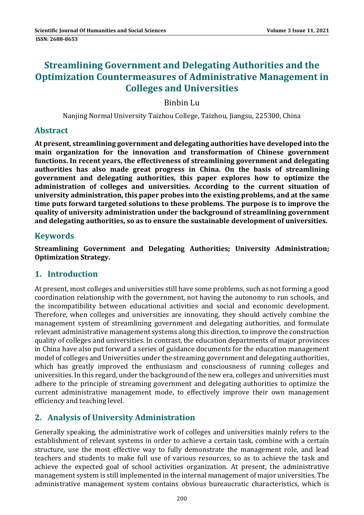# **Streamlining Government and Delegating Authorities and the Optimization Countermeasures of Administrative Management in Colleges and Universities**

Binbin Lu 

Nanjing Normal University Taizhou College, Taizhou, Jiangsu, 225300, China

## **Abstract**

**At present, streamlining government and delegating authorities have developed into the main organization for the innovation and transformation of Chinese government functions. In recent years, the effectiveness of streamlining government and delegating authorities has also made great progress in China. On the basis of streamlining government and delegating authorities, this paper explores how to optimize the administration of colleges and universities. According to the current situation of university administration, this paper probes into the existing problems, and at the same time puts forward targeted solutions to these problems. The purpose is to improve the quality of university administration under the background of streamlining government and delegating authorities, so as to ensure the sustainable development of universities.**

## **Keywords**

**Streamlining Government and Delegating Authorities; University Administration; Optimization Strategy.**

## **1. Introduction**

At present, most colleges and universities still have some problems, such as not forming a good coordination relationship with the government, not having the autonomy to run schools, and the incompatibility between educational activities and social and economic development. Therefore, when colleges and universities are innovating, they should actively combine the management system of streamlining government and delegating authorities, and formulate relevant administrative management systems along this direction, to improve the construction quality of colleges and universities. In contrast, the education departments of major provinces in China have also put forward a series of guidance documents for the education management model of colleges and Universities under the streaming government and delegating authorities, which has greatly improved the enthusiasm and consciousness of running colleges and universities. In this regard, under the background of the new era, colleges and universities must adhere to the principle of streaming government and delegating authorities to optimize the current administrative management mode, to effectively improve their own management efficiency and teaching level.

## **2. Analysis of University Administration**

Generally speaking, the administrative work of colleges and universities mainly refers to the establishment of relevant systems in order to achieve a certain task, combine with a certain structure, use the most effective way to fully demonstrate the management role, and lead teachers and students to make full use of various resources, so as to achieve the task and achieve the expected goal of school activities organization. At present, the administrative management system is still implemented in the internal management of major universities. The administrative management system contains obvious bureaucratic characteristics, which is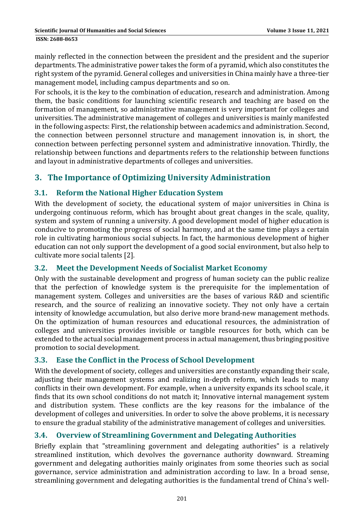**ISSN: 2688-8653** 

mainly reflected in the connection between the president and the president and the superior departments. The administrative power takes the form of a pyramid, which also constitutes the right system of the pyramid. General colleges and universities in China mainly have a three-tier management model, including campus departments and so on.

For schools, it is the key to the combination of education, research and administration. Among them, the basic conditions for launching scientific research and teaching are based on the formation of management, so administrative management is very important for colleges and universities. The administrative management of colleges and universities is mainly manifested in the following aspects: First, the relationship between academics and administration. Second, the connection between personnel structure and management innovation is, in short, the connection between perfecting personnel system and administrative innovation. Thirdly, the relationship between functions and departments refers to the relationship between functions and layout in administrative departments of colleges and universities.

## **3. The Importance of Optimizing University Administration**

### **3.1. Reform the National Higher Education System**

With the development of society, the educational system of major universities in China is undergoing continuous reform, which has brought about great changes in the scale, quality, system and system of running a university. A good development model of higher education is conducive to promoting the progress of social harmony, and at the same time plays a certain role in cultivating harmonious social subjects. In fact, the harmonious development of higher education can not only support the development of a good social environment, but also help to cultivate more social talents [2].

### **3.2. Meet the Development Needs of Socialist Market Economy**

Only with the sustainable development and progress of human society can the public realize that the perfection of knowledge system is the prerequisite for the implementation of management system. Colleges and universities are the bases of various R&D and scientific research, and the source of realizing an innovative society. They not only have a certain intensity of knowledge accumulation, but also derive more brand-new management methods. On the optimization of human resources and educational resources, the administration of colleges and universities provides invisible or tangible resources for both, which can be extended to the actual social management process in actual management, thus bringing positive promotion to social development.

### **3.3. Ease the Conflict in the Process of School Development**

With the development of society, colleges and universities are constantly expanding their scale, adjusting their management systems and realizing in-depth reform, which leads to many conflicts in their own development. For example, when a university expands its school scale, it finds that its own school conditions do not match it; Innovative internal management system and distribution system. These conflicts are the key reasons for the imbalance of the development of colleges and universities. In order to solve the above problems, it is necessary to ensure the gradual stability of the administrative management of colleges and universities.

### **3.4. Overview of Streamlining Government and Delegating Authorities**

Briefly explain that "streamlining government and delegating authorities" is a relatively streamlined institution, which devolves the governance authority downward. Streaming government and delegating authorities mainly originates from some theories such as social governance, service administration and administration according to law. In a broad sense, streamlining government and delegating authorities is the fundamental trend of China's well-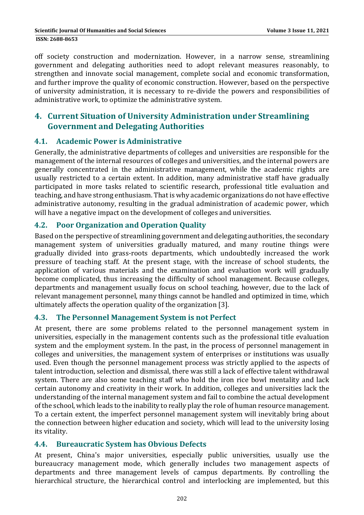off society construction and modernization. However, in a narrow sense, streamlining government and delegating authorities need to adopt relevant measures reasonably, to strengthen and innovate social management, complete social and economic transformation, and further improve the quality of economic construction. However, based on the perspective of university administration, it is necessary to re-divide the powers and responsibilities of administrative work, to optimize the administrative svstem.

## **4. Current Situation of University Administration under Streamlining Government and Delegating Authorities**

#### **4.1. Academic Power is Administrative**

Generally, the administrative departments of colleges and universities are responsible for the management of the internal resources of colleges and universities, and the internal powers are generally concentrated in the administrative management, while the academic rights are usually restricted to a certain extent. In addition, many administrative staff have gradually participated in more tasks related to scientific research, professional title evaluation and teaching, and have strong enthusiasm. That is why academic organizations do not have effective administrative autonomy, resulting in the gradual administration of academic power, which will have a negative impact on the development of colleges and universities.

#### **4.2. Poor Organization and Operation Quality**

Based on the perspective of streamlining government and delegating authorities, the secondary management system of universities gradually matured, and many routine things were gradually divided into grass-roots departments, which undoubtedly increased the work pressure of teaching staff. At the present stage, with the increase of school students, the application of various materials and the examination and evaluation work will gradually become complicated, thus increasing the difficulty of school management. Because colleges, departments and management usually focus on school teaching, however, due to the lack of relevant management personnel, many things cannot be handled and optimized in time, which ultimately affects the operation quality of the organization [3].

#### **4.3. The Personnel Management System is not Perfect**

At present, there are some problems related to the personnel management system in universities, especially in the management contents such as the professional title evaluation system and the employment system. In the past, in the process of personnel management in colleges and universities, the management system of enterprises or institutions was usually used. Even though the personnel management process was strictly applied to the aspects of talent introduction, selection and dismissal, there was still a lack of effective talent withdrawal system. There are also some teaching staff who hold the iron rice bowl mentality and lack certain autonomy and creativity in their work. In addition, colleges and universities lack the understanding of the internal management system and fail to combine the actual development of the school, which leads to the inability to really play the role of human resource management. To a certain extent, the imperfect personnel management system will inevitably bring about the connection between higher education and society, which will lead to the university losing its vitality.

#### **4.4. Bureaucratic System has Obvious Defects**

At present, China's major universities, especially public universities, usually use the bureaucracy management mode, which generally includes two management aspects of departments and three management levels of campus departments. By controlling the hierarchical structure, the hierarchical control and interlocking are implemented, but this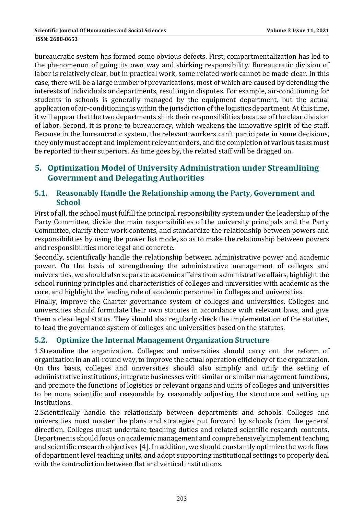bureaucratic system has formed some obvious defects. First, compartmentalization has led to the phenomenon of going its own way and shirking responsibility. Bureaucratic division of labor is relatively clear, but in practical work, some related work cannot be made clear. In this case, there will be a large number of prevarications, most of which are caused by defending the interests of individuals or departments, resulting in disputes. For example, air-conditioning for students in schools is generally managed by the equipment department, but the actual application of air-conditioning is within the jurisdiction of the logistics department. At this time, it will appear that the two departments shirk their responsibilities because of the clear division of labor. Second, it is prone to bureaucracy, which weakens the innovative spirit of the staff. Because in the bureaucratic system, the relevant workers can't participate in some decisions, they only must accept and implement relevant orders, and the completion of various tasks must be reported to their superiors. As time goes by, the related staff will be dragged on.

## **5. Optimization Model of University Administration under Streamlining Government and Delegating Authorities**

### **5.1. Reasonably Handle the Relationship among the Party, Government and School**

First of all, the school must fulfill the principal responsibility system under the leadership of the Party Committee, divide the main responsibilities of the university principals and the Party Committee, clarify their work contents, and standardize the relationship between powers and responsibilities by using the power list mode, so as to make the relationship between powers and responsibilities more legal and concrete.

Secondly, scientifically handle the relationship between administrative power and academic power. On the basis of strengthening the administrative management of colleges and universities, we should also separate academic affairs from administrative affairs, highlight the school running principles and characteristics of colleges and universities with academic as the core, and highlight the leading role of academic personnel in Colleges and universities.

Finally, improve the Charter governance system of colleges and universities. Colleges and universities should formulate their own statutes in accordance with relevant laws, and give them a clear legal status. They should also regularly check the implementation of the statutes, to lead the governance system of colleges and universities based on the statutes.

## **5.2. Optimize the Internal Management Organization Structure**

1.Streamline the organization. Colleges and universities should carry out the reform of organization in an all-round way, to improve the actual operation efficiency of the organization. On this basis, colleges and universities should also simplify and unify the setting of administrative institutions, integrate businesses with similar or similar management functions, and promote the functions of logistics or relevant organs and units of colleges and universities to be more scientific and reasonable by reasonably adjusting the structure and setting up institutions. 

2. Scientifically handle the relationship between departments and schools. Colleges and universities must master the plans and strategies put forward by schools from the general direction. Colleges must undertake teaching duties and related scientific research contents. Departments should focus on academic management and comprehensively implement teaching and scientific research objectives [4]. In addition, we should constantly optimize the work flow of department level teaching units, and adopt supporting institutional settings to properly deal with the contradiction between flat and vertical institutions.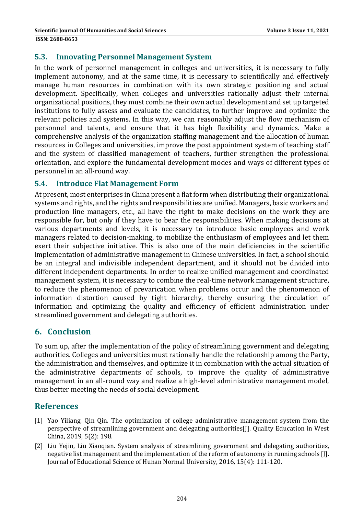#### **5.3. Innovating Personnel Management System**

In the work of personnel management in colleges and universities, it is necessary to fully implement autonomy, and at the same time, it is necessary to scientifically and effectively manage human resources in combination with its own strategic positioning and actual development. Specifically, when colleges and universities rationally adjust their internal organizational positions, they must combine their own actual development and set up targeted institutions to fully assess and evaluate the candidates, to further improve and optimize the relevant policies and systems. In this way, we can reasonably adjust the flow mechanism of personnel and talents, and ensure that it has high flexibility and dynamics. Make a comprehensive analysis of the organization staffing management and the allocation of human resources in Colleges and universities, improve the post appointment system of teaching staff and the system of classified management of teachers, further strengthen the professional orientation, and explore the fundamental development modes and ways of different types of personnel in an all-round way.

#### **5.4. Introduce Flat Management Form**

At present, most enterprises in China present a flat form when distributing their organizational systems and rights, and the rights and responsibilities are unified. Managers, basic workers and production line managers, etc., all have the right to make decisions on the work they are responsible for, but only if they have to bear the responsibilities. When making decisions at various departments and levels, it is necessary to introduce basic employees and work managers related to decision-making, to mobilize the enthusiasm of employees and let them exert their subjective initiative. This is also one of the main deficiencies in the scientific implementation of administrative management in Chinese universities. In fact, a school should be an integral and indivisible independent department, and it should not be divided into different independent departments. In order to realize unified management and coordinated management system, it is necessary to combine the real-time network management structure, to reduce the phenomenon of prevarication when problems occur and the phenomenon of information distortion caused by tight hierarchy, thereby ensuring the circulation of information and optimizing the quality and efficiency of efficient administration under streamlined government and delegating authorities.

### **6. Conclusion**

To sum up, after the implementation of the policy of streamlining government and delegating authorities. Colleges and universities must rationally handle the relationship among the Party, the administration and themselves, and optimize it in combination with the actual situation of the administrative departments of schools, to improve the quality of administrative management in an all-round way and realize a high-level administrative management model, thus better meeting the needs of social development.

### **References**

- [1] Yao Yiliang, Oin Oin. The optimization of college administrative management system from the perspective of streamlining government and delegating authorities[J]. Quality Education in West China, 2019, 5(2): 198.
- [2] Liu Yejin, Liu Xiaogian. System analysis of streamlining government and delegating authorities, negative list management and the implementation of the reform of autonomy in running schools [J]. Journal of Educational Science of Hunan Normal University, 2016, 15(4): 111-120.